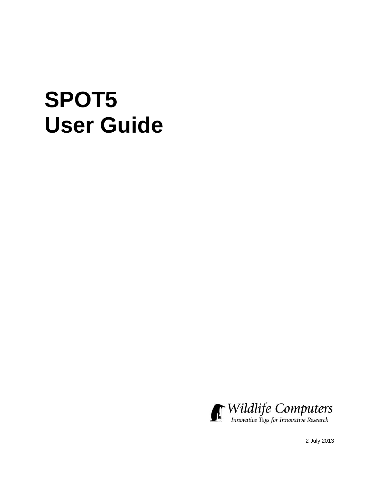# **SPOT5 User Guide**



2 July 2013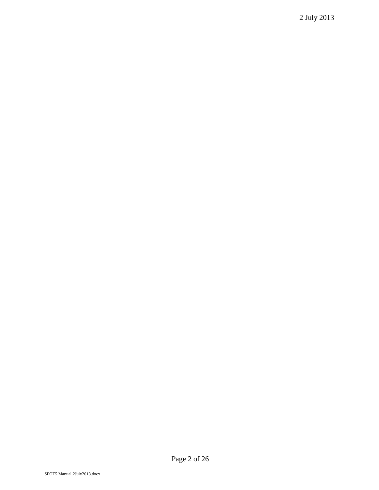2 July 2013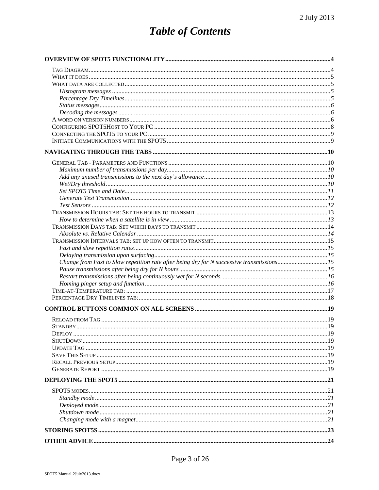# **Table of Contents**

| Change from Fast to Slow repetition rate after being dry for N successive transmissions15 |  |
|-------------------------------------------------------------------------------------------|--|
|                                                                                           |  |
|                                                                                           |  |
|                                                                                           |  |
|                                                                                           |  |
|                                                                                           |  |
|                                                                                           |  |
|                                                                                           |  |
|                                                                                           |  |
|                                                                                           |  |
|                                                                                           |  |
|                                                                                           |  |
|                                                                                           |  |
|                                                                                           |  |
|                                                                                           |  |
|                                                                                           |  |
|                                                                                           |  |
|                                                                                           |  |
|                                                                                           |  |
|                                                                                           |  |
|                                                                                           |  |
|                                                                                           |  |
|                                                                                           |  |
|                                                                                           |  |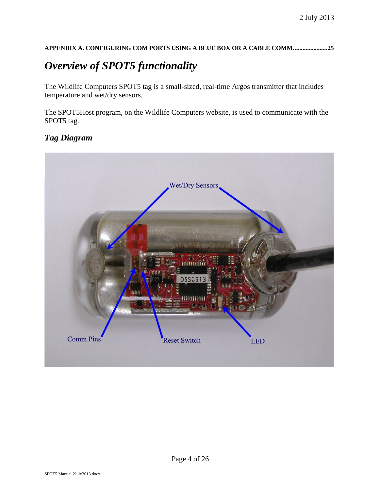#### **APPENDIX A. CONFIGURING COM PORTS USING A BLUE BOX OR A CABLE COMM. ..................... 25**

# *Overview of SPOT5 functionality*

The Wildlife Computers SPOT5 tag is a small-sized, real-time Argos transmitter that includes temperature and wet/dry sensors.

The SPOT5Host program, on the Wildlife Computers website, is used to communicate with the SPOT5 tag.

### *Tag Diagram*

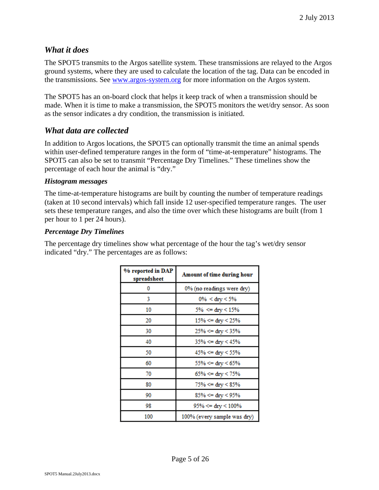#### *What it does*

The SPOT5 transmits to the Argos satellite system. These transmissions are relayed to the Argos ground systems, where they are used to calculate the location of the tag. Data can be encoded in the transmissions. See www.argos-system.org for more information on the Argos system.

The SPOT5 has an on-board clock that helps it keep track of when a transmission should be made. When it is time to make a transmission, the SPOT5 monitors the wet/dry sensor. As soon as the sensor indicates a dry condition, the transmission is initiated.

#### *What data are collected*

In addition to Argos locations, the SPOT5 can optionally transmit the time an animal spends within user-defined temperature ranges in the form of "time-at-temperature" histograms. The SPOT5 can also be set to transmit "Percentage Dry Timelines." These timelines show the percentage of each hour the animal is "dry."

#### *Histogram messages*

The time-at-temperature histograms are built by counting the number of temperature readings (taken at 10 second intervals) which fall inside 12 user-specified temperature ranges. The user sets these temperature ranges, and also the time over which these histograms are built (from 1 per hour to 1 per 24 hours).

#### *Percentage Dry Timelines*

The percentage dry timelines show what percentage of the hour the tag's wet/dry sensor indicated "dry." The percentages are as follows:

| % reported in DAP<br>spreadsheet | Amount of time during hour  |  |  |
|----------------------------------|-----------------------------|--|--|
| 0                                | 0% (no readings were dry)   |  |  |
| 3                                | $0\% <$ dry < 5%            |  |  |
| 10                               | 5% $\le$ dry $\le$ 15%      |  |  |
| 20                               | $15\% \leq dry \leq 25\%$   |  |  |
| 30                               | $25\% \leq dry \leq 35\%$   |  |  |
| 40                               | $35\% \leq dry \leq 45\%$   |  |  |
| 50                               | $45\% \leq dry \leq 55\%$   |  |  |
| 60                               | $55\% \leq dry \leq 65\%$   |  |  |
| 70                               | 65% <= dry < 75%            |  |  |
| 80                               | $75\% \leq dry \leq 85\%$   |  |  |
| 90                               | 85% <= dry < 95%            |  |  |
| 98                               | $95\% \leq dry \leq 100\%$  |  |  |
| 100                              | 100% (every sample was dry) |  |  |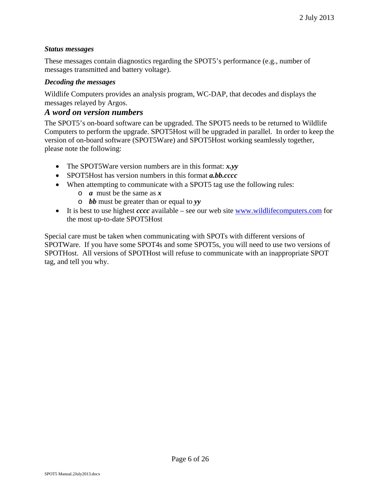#### *Status messages*

These messages contain diagnostics regarding the SPOT5's performance (e.g., number of messages transmitted and battery voltage).

#### *Decoding the messages*

Wildlife Computers provides an analysis program, WC-DAP, that decodes and displays the messages relayed by Argos.

#### *A word on version numbers*

The SPOT5's on-board software can be upgraded. The SPOT5 needs to be returned to Wildlife Computers to perform the upgrade. SPOT5Host will be upgraded in parallel. In order to keep the version of on-board software (SPOT5Ware) and SPOT5Host working seamlessly together, please note the following:

- The SPOT5Ware version numbers are in this format: *x.yy*
- SPOT5Host has version numbers in this format *a.bb.cccc*
- When attempting to communicate with a SPOT5 tag use the following rules:
	- o *a* must be the same as *x*
	- o *bb* must be greater than or equal to *yy*
- It is best to use highest *cccc* available see our web site www.wildlifecomputers.com for the most up-to-date SPOT5Host

Special care must be taken when communicating with SPOTs with different versions of SPOTWare. If you have some SPOT4s and some SPOT5s, you will need to use two versions of SPOTHost. All versions of SPOTHost will refuse to communicate with an inappropriate SPOT tag, and tell you why.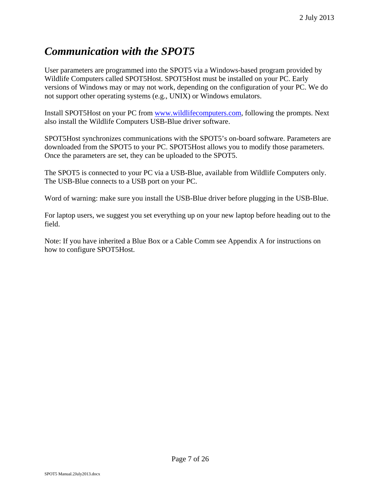# *Communication with the SPOT5*

User parameters are programmed into the SPOT5 via a Windows-based program provided by Wildlife Computers called SPOT5Host. SPOT5Host must be installed on your PC. Early versions of Windows may or may not work, depending on the configuration of your PC. We do not support other operating systems (e.g., UNIX) or Windows emulators.

Install SPOT5Host on your PC from www.wildlifecomputers.com, following the prompts. Next also install the Wildlife Computers USB-Blue driver software.

SPOT5Host synchronizes communications with the SPOT5's on-board software. Parameters are downloaded from the SPOT5 to your PC. SPOT5Host allows you to modify those parameters. Once the parameters are set, they can be uploaded to the SPOT5.

The SPOT5 is connected to your PC via a USB-Blue, available from Wildlife Computers only. The USB-Blue connects to a USB port on your PC.

Word of warning: make sure you install the USB-Blue driver before plugging in the USB-Blue.

For laptop users, we suggest you set everything up on your new laptop before heading out to the field.

Note: If you have inherited a Blue Box or a Cable Comm see Appendix A for instructions on how to configure SPOT5Host.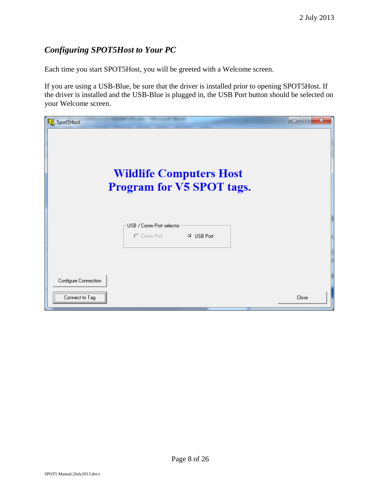# *Configuring SPOT5Host to Your PC*

Each time you start SPOT5Host, you will be greeted with a Welcome screen.

If you are using a USB-Blue, be sure that the driver is installed prior to opening SPOT5Host. If the driver is installed and the USB-Blue is plugged in, the USB Port button should be selected on your Welcome screen.

| 图 Spot5Host                            |                                                             | $\mathbf{x}$<br>o<br>$\Box$ |
|----------------------------------------|-------------------------------------------------------------|-----------------------------|
|                                        | <b>Wildlife Computers Host</b><br>Program for V5 SPOT tags. |                             |
|                                        | USB / Comm Port selector<br>C Comm Port C USB Port          |                             |
| Configure Connection<br>Connect to Tag |                                                             | Close                       |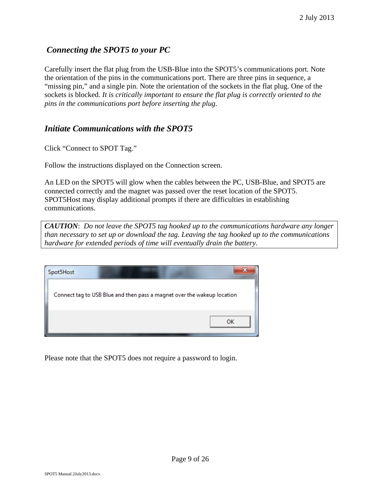### *Connecting the SPOT5 to your PC*

Carefully insert the flat plug from the USB-Blue into the SPOT5's communications port. Note the orientation of the pins in the communications port. There are three pins in sequence, a "missing pin," and a single pin. Note the orientation of the sockets in the flat plug. One of the sockets is blocked. *It is critically important to ensure the flat plug is correctly oriented to the pins in the communications port before inserting the plug*.

#### *Initiate Communications with the SPOT5*

Click "Connect to SPOT Tag."

Follow the instructions displayed on the Connection screen.

An LED on the SPOT5 will glow when the cables between the PC, USB-Blue, and SPOT5 are connected correctly and the magnet was passed over the reset location of the SPOT5. SPOT5Host may display additional prompts if there are difficulties in establishing communications.

*CAUTION*: *Do not leave the SPOT5 tag hooked up to the communications hardware any longer than necessary to set up or download the tag. Leaving the tag hooked up to the communications hardware for extended periods of time will eventually drain the battery.* 

| Spot5Host |                                                                         |
|-----------|-------------------------------------------------------------------------|
|           | Connect tag to USB Blue and then pass a magnet over the wakeup location |
|           | OK                                                                      |

Please note that the SPOT5 does not require a password to login.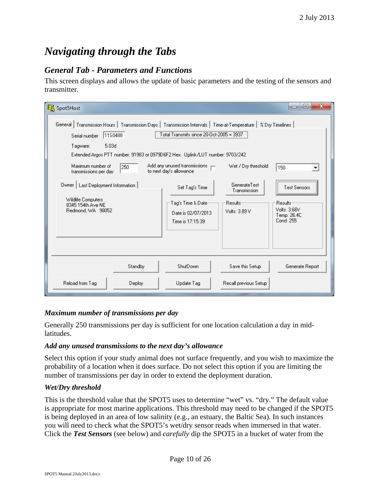# *Navigating through the Tabs*

### *General Tab - Parameters and Functions*

This screen displays and allows the update of basic parameters and the testing of the sensors and transmitter.

| Spot5Host                                                                                                                                                                                                                                                                                                                                                                                                                                                                                                                                                                                                                                                                                                            | $\mathbf{x}$<br>E<br>$\Box$                                                       |
|----------------------------------------------------------------------------------------------------------------------------------------------------------------------------------------------------------------------------------------------------------------------------------------------------------------------------------------------------------------------------------------------------------------------------------------------------------------------------------------------------------------------------------------------------------------------------------------------------------------------------------------------------------------------------------------------------------------------|-----------------------------------------------------------------------------------|
| General   Transmission Hours   Transmission Days   Transmission Intervals   Time-at-Temperature   % Dry Timelines  <br>Total Transmits since 20-Oct-2005 = 3937<br>11S0488<br>Serial number<br>5.03 <sub>d</sub><br>Tagware:<br>Extended Argos PTT number: 91983 or 0979D6F2 Hex. Uplink/LUT number: 9703/242<br>Add any unused transmissions [<br>Wet / Dry threshold<br>Maximum number of<br>250<br>to next day's allowance<br>transmissions per day<br>Owner   Last Deployment Information  <br>GenerateTest<br>Set Tag's Time<br>Transmission<br>Wildlife Computers<br>Tag's Time & Date<br><b>Results:</b><br>8345 154th Ave NE<br>Redmond, WA 98052<br>Volts: 3.89 V<br>Date is 02/07/2013<br>Time is 17:15:39 | 150<br>Test Sensors<br><b>Results</b><br>Volts: 3.66V<br>Temp: 26.4C<br>Cond: 255 |
| ShutDown<br>Standby<br>Save this Setup                                                                                                                                                                                                                                                                                                                                                                                                                                                                                                                                                                                                                                                                               | Generate Report                                                                   |
| Reload from Tag<br>Update Tag<br>Recall previous Setup<br>Deploy                                                                                                                                                                                                                                                                                                                                                                                                                                                                                                                                                                                                                                                     |                                                                                   |

#### *Maximum number of transmissions per day*

Generally 250 transmissions per day is sufficient for one location calculation a day in midlatitudes.

#### *Add any unused transmissions to the next day's allowance*

Select this option if your study animal does not surface frequently, and you wish to maximize the probability of a location when it does surface. Do not select this option if you are limiting the number of transmissions per day in order to extend the deployment duration.

#### *Wet/Dry threshold*

This is the threshold value that the SPOT5 uses to determine "wet" vs. "dry." The default value is appropriate for most marine applications. This threshold may need to be changed if the SPOT5 is being deployed in an area of low salinity (e.g., an estuary, the Baltic Sea). In such instances you will need to check what the SPOT5's wet/dry sensor reads when immersed in that water. Click the *Test Sensors* (see below) and *carefully* dip the SPOT5 in a bucket of water from the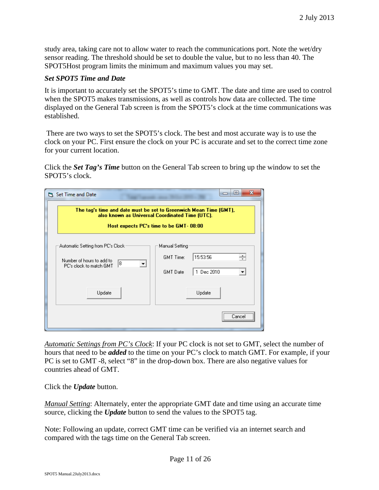study area, taking care not to allow water to reach the communications port. Note the wet/dry sensor reading. The threshold should be set to double the value, but to no less than 40. The SPOT5Host program limits the minimum and maximum values you may set.

#### *Set SPOT5 Time and Date*

It is important to accurately set the SPOT5's time to GMT. The date and time are used to control when the SPOT5 makes transmissions, as well as controls how data are collected. The time displayed on the General Tab screen is from the SPOT5's clock at the time communications was established.

 There are two ways to set the SPOT5's clock. The best and most accurate way is to use the clock on your PC. First ensure the clock on your PC is accurate and set to the correct time zone for your current location.

Click the *Set Tag's Time* button on the General Tab screen to bring up the window to set the SPOT5's clock.

| Set Time and Date                                                                               | x<br>⊟<br>▭<br>The tag's time and date must be set to Greenwich Mean Time (GMT),<br>also known as Universal Coordinated Time (UTC).<br>Host expects PC's time to be GMT-08:00 |
|-------------------------------------------------------------------------------------------------|-------------------------------------------------------------------------------------------------------------------------------------------------------------------------------|
| Automatic Setting from PC's Clock:<br>Number of hours to add to<br>8<br>PC's clock to match GMT | Manual Setting<br>15:53:56<br>÷<br><b>GMT</b> Time:<br>1 Dec 2010<br><b>GMT</b> Date                                                                                          |
| Update                                                                                          | Update<br>.ance                                                                                                                                                               |

*Automatic Settings from PC's Clock*: If your PC clock is not set to GMT, select the number of hours that need to be *added* to the time on your PC's clock to match GMT. For example, if your PC is set to GMT -8, select "8" in the drop-down box. There are also negative values for countries ahead of GMT.

Click the *Update* button.

*Manual Setting*: Alternately, enter the appropriate GMT date and time using an accurate time source, clicking the *Update* button to send the values to the SPOT5 tag.

Note: Following an update, correct GMT time can be verified via an internet search and compared with the tags time on the General Tab screen.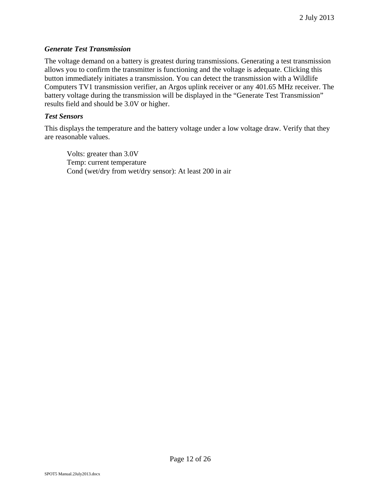#### *Generate Test Transmission*

The voltage demand on a battery is greatest during transmissions. Generating a test transmission allows you to confirm the transmitter is functioning and the voltage is adequate. Clicking this button immediately initiates a transmission. You can detect the transmission with a Wildlife Computers TV1 transmission verifier, an Argos uplink receiver or any 401.65 MHz receiver. The battery voltage during the transmission will be displayed in the "Generate Test Transmission" results field and should be 3.0V or higher.

#### *Test Sensors*

This displays the temperature and the battery voltage under a low voltage draw. Verify that they are reasonable values.

Volts: greater than 3.0V Temp: current temperature Cond (wet/dry from wet/dry sensor): At least 200 in air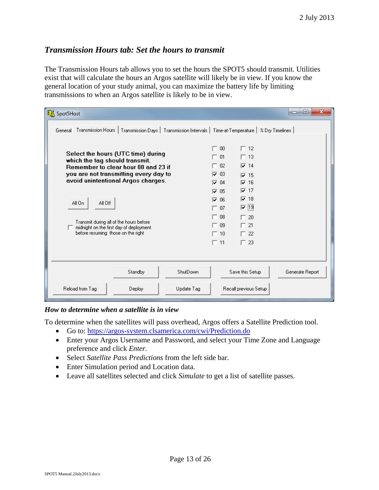### *Transmission Hours tab: Set the hours to transmit*

The Transmission Hours tab allows you to set the hours the SPOT5 should transmit. Utilities exist that will calculate the hours an Argos satellite will likely be in view. If you know the general location of your study animal, you can maximize the battery life by limiting transmissions to when an Argos satellite is likely to be in view.

| Spot5Host                                                                                                                                                                                                       | x<br>▣<br>-                                                                                                                                                                                                |
|-----------------------------------------------------------------------------------------------------------------------------------------------------------------------------------------------------------------|------------------------------------------------------------------------------------------------------------------------------------------------------------------------------------------------------------|
| General Transmission Hours   Transmission Days   Transmission Intervals   Time-at-Temperature   % Dry Timelines                                                                                                 |                                                                                                                                                                                                            |
| Select the hours (UTC time) during<br>which the tag should transmit.<br>Remember to clear hour 00 and 23 if<br>you are not transmitting every day to<br>avoid unintentional Argos charges.<br>All On<br>All Off | $\Box$ 12<br>00<br>$\Box$ 01<br>$\Box$ 13<br>02<br>$\overline{V}$ 14<br>☞<br>-03<br>⊽<br>-15<br>$\nabla$ 16<br>$\overline{V}$ 04<br>☞<br>-17<br>⊽<br>05<br>☞<br>-18<br>⊽<br>06<br>$\nabla \cdot 19$<br>-07 |
| Transmit during all of the hours before<br>$\Box$ midnight on the first day of deployment<br>before resuming those on the right                                                                                 | $\sqsupset$ 08<br>20<br>п<br>$\Box$ 09<br>21<br>г.<br>$\Box$ 10<br>22<br>п<br>$\Box$ 11<br>п.<br>23                                                                                                        |
| ShutDown<br>Standby                                                                                                                                                                                             | Save this Setup<br>Generate Report                                                                                                                                                                         |
| Reload from Tag<br>Update Tag<br>Deploy                                                                                                                                                                         | Recall previous Setup                                                                                                                                                                                      |

#### *How to determine when a satellite is in view*

To determine when the satellites will pass overhead, Argos offers a Satellite Prediction tool.

- Go to: https://argos-system.clsamerica.com/cwi/Prediction.do
- Enter your Argos Username and Password, and select your Time Zone and Language preference and click *Enter.*
- Select *Satellite Pass Predictions* from the left side bar.
- Enter Simulation period and Location data.
- Leave all satellites selected and click *Simulate* to get a list of satellite passes.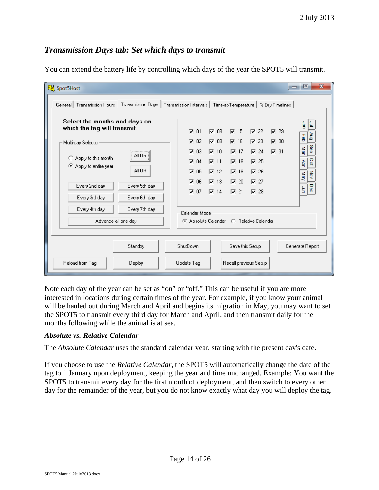#### *Transmission Days tab: Set which days to transmit*

You can extend the battery life by controlling which days of the year the SPOT5 will transmit.

| Spot5Host                                                                                                         |               |                     |                   |                       |                   |                   | $\mathbf x$<br>$\qquad \qquad =$ |
|-------------------------------------------------------------------------------------------------------------------|---------------|---------------------|-------------------|-----------------------|-------------------|-------------------|----------------------------------|
| General   Transmission Hours   Transmission Days   Transmission Intervals   Time-at-Temperature   % Dry Timelines |               |                     |                   |                       |                   |                   |                                  |
| Select the months and days on<br>which the tag will transmit.                                                     |               | ⊽<br>01<br>⊽        | 08                | $\overline{v}$ 15     | ⊽<br>-22          | ⊽<br>-29          | 회할                               |
| Multi-day Selector                                                                                                |               | ⊽<br>02             | $\overline{V}$ 09 | $\overline{v}$ 16     | $\overline{v}$ 23 | $\nabla$ 30       | ≩<br>؏                           |
|                                                                                                                   | <br>All On    | 03<br>☞             | $\nabla$ 10       | $\overline{v}$ 17     | $\overline{v}$ 24 | $\overline{V}$ 31 | es<br><br>副                      |
| C Apply to this month<br>€<br>Apply to entire year                                                                |               | ⊽<br>04             | $\overline{v}$ 11 | $\overline{V}$ 18     | $\overline{v}$ 25 |                   | $\frac{0}{2}$<br>ಕ್ಕಿ            |
|                                                                                                                   | All Off       | 05<br>☞             | $\overline{v}$ 12 | $\overline{V}$ 19     | $\overline{v}$ 26 |                   | δó<br>Viay                       |
| Every 2nd day                                                                                                     | Every 5th day | 06<br>⊽             | $\overline{V}$ 13 | $\overline{V}$ 20     | $\overline{v}$ 27 |                   | $\frac{1}{2}$                    |
| Every 3rd day                                                                                                     | Every 6th day | 07<br>⊽             | $\overline{V}$ 14 | $\overline{V}$ 21     | $\overline{V}$ 28 |                   |                                  |
| Every 4th day                                                                                                     | Every 7th day | Calendar Mode       |                   |                       |                   |                   |                                  |
| Advance all one day                                                                                               |               | C Absolute Calendar |                   | ○ Relative Calendar   |                   |                   |                                  |
|                                                                                                                   |               |                     |                   |                       |                   |                   |                                  |
|                                                                                                                   | Standby       | ShutDown            |                   | Save this Setup       |                   |                   | Generate Report                  |
| Reload from Tag                                                                                                   | Deploy        | Update Tag          |                   | Recall previous Setup |                   |                   |                                  |

Note each day of the year can be set as "on" or "off." This can be useful if you are more interested in locations during certain times of the year. For example, if you know your animal will be hauled out during March and April and begins its migration in May, you may want to set the SPOT5 to transmit every third day for March and April, and then transmit daily for the months following while the animal is at sea.

#### *Absolute vs. Relative Calendar*

The *Absolute Calendar* uses the standard calendar year, starting with the present day's date.

If you choose to use the *Relative Calendar*, the SPOT5 will automatically change the date of the tag to 1 January upon deployment, keeping the year and time unchanged. Example: You want the SPOT5 to transmit every day for the first month of deployment, and then switch to every other day for the remainder of the year, but you do not know exactly what day you will deploy the tag.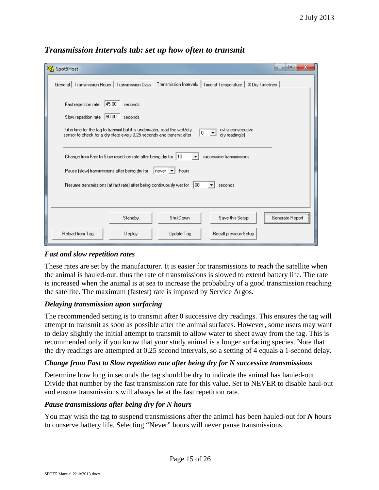| Spot5Host<br>0                                                                                                                                                                                     | ▣<br>x |  |  |  |  |
|----------------------------------------------------------------------------------------------------------------------------------------------------------------------------------------------------|--------|--|--|--|--|
| General   Transmission Hours   Transmission Days   Transmission Intervals   Time-at-Temperature   % Dry Timelines                                                                                  |        |  |  |  |  |
| 45.00<br>Fast repetition rate<br>seconds                                                                                                                                                           |        |  |  |  |  |
| 90.00 <br>Slow repetition rate<br>seconds                                                                                                                                                          |        |  |  |  |  |
| If it is time for the tag to transmit but it is underwater, read the wet/dry-<br>extra consecutive<br>0<br>sensor to check for a dry state every 0.25 seconds and transmit after<br>dry reading(s) |        |  |  |  |  |
| Change from Fast to Slow repetition rate after being dry for<br>110<br>successive transmissions                                                                                                    |        |  |  |  |  |
| Pause (slow) transmissions after being dry for<br>hours<br>never                                                                                                                                   |        |  |  |  |  |
| 108<br>Resume transmissions (at fast rate) after being continuously wet for<br>seconds                                                                                                             |        |  |  |  |  |
| ShutDown<br>Standby<br>Save this Setup<br>Generate Report                                                                                                                                          |        |  |  |  |  |
| Reload from Tag<br>Update Tag<br>Recall previous Setup<br>Deploy                                                                                                                                   |        |  |  |  |  |

### *Transmission Intervals tab: set up how often to transmit*

#### *Fast and slow repetition rates*

These rates are set by the manufacturer. It is easier for transmissions to reach the satellite when the animal is hauled-out, thus the rate of transmissions is slowed to extend battery life. The rate is increased when the animal is at sea to increase the probability of a good transmission reaching the satellite. The maximum (fastest) rate is imposed by Service Argos.

#### *Delaying transmission upon surfacing*

The recommended setting is to transmit after 0 successive dry readings. This ensures the tag will attempt to transmit as soon as possible after the animal surfaces. However, some users may want to delay slightly the initial attempt to transmit to allow water to sheet away from the tag. This is recommended only if you know that your study animal is a longer surfacing species. Note that the dry readings are attempted at 0.25 second intervals, so a setting of 4 equals a 1-second delay.

#### *Change from Fast to Slow repetition rate after being dry for N successive transmissions*

Determine how long in seconds the tag should be dry to indicate the animal has hauled-out. Divide that number by the fast transmission rate for this value. Set to NEVER to disable haul-out and ensure transmissions will always be at the fast repetition rate.

#### *Pause transmissions after being dry for N hours*

You may wish the tag to suspend transmissions after the animal has been hauled-out for *N* hours to conserve battery life. Selecting "Never" hours will never pause transmissions.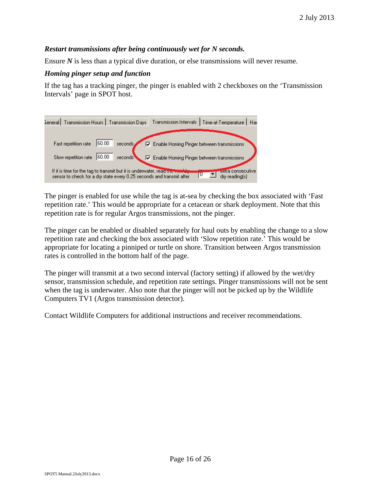#### *Restart transmissions after being continuously wet for N seconds.*

Ensure *N* is less than a typical dive duration, or else transmissions will never resume.

#### *Homing pinger setup and function*

If the tag has a tracking pinger, the pinger is enabled with 2 checkboxes on the 'Transmission Intervals' page in SPOT host.

|                      | Seneral Transmission Hours Transmission Days                                                                                                          | Transmission Intervals                       | Time-at-Temperature   Hat                |
|----------------------|-------------------------------------------------------------------------------------------------------------------------------------------------------|----------------------------------------------|------------------------------------------|
|                      |                                                                                                                                                       |                                              |                                          |
| Fast repetition rate | 160.00.<br>seconds.                                                                                                                                   | Ⅳ Enable Homing Pinger between transmissions |                                          |
| Slow repetition rate | 160.00<br>seconds'                                                                                                                                    | □ Enable Homing Pinger between transmissions |                                          |
|                      | If it is time for the tag to transmit but it is underwater, read the well by<br>sensor to check for a dry state every 0.25 seconds and transmit after |                                              | extra consecutive<br>π<br>drv reading(s) |

The pinger is enabled for use while the tag is at-sea by checking the box associated with 'Fast repetition rate.' This would be appropriate for a cetacean or shark deployment. Note that this repetition rate is for regular Argos transmissions, not the pinger.

The pinger can be enabled or disabled separately for haul outs by enabling the change to a slow repetition rate and checking the box associated with 'Slow repetition rate.' This would be appropriate for locating a pinniped or turtle on shore. Transition between Argos transmission rates is controlled in the bottom half of the page.

The pinger will transmit at a two second interval (factory setting) if allowed by the wet/dry sensor, transmission schedule, and repetition rate settings. Pinger transmissions will not be sent when the tag is underwater. Also note that the pinger will not be picked up by the Wildlife Computers TV1 (Argos transmission detector).

Contact Wildlife Computers for additional instructions and receiver recommendations.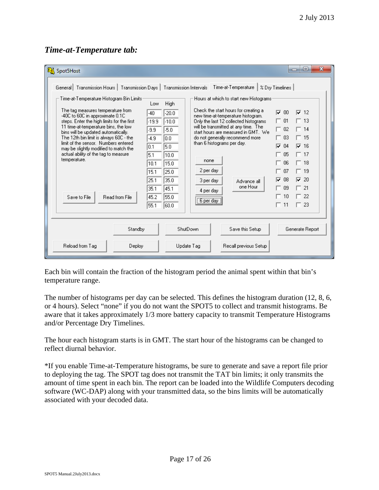#### *Time-at-Temperature tab:*

| 剛<br>Spot5Host                                                                                                                                                                                                                                                                                                                                                                                                                    |                                                                                           |                                                               |                                                          |                                                                                                                                                                                                                                                                                  | $\overline{\mathbf{x}}$<br>o<br>$\Box$                                                                              |
|-----------------------------------------------------------------------------------------------------------------------------------------------------------------------------------------------------------------------------------------------------------------------------------------------------------------------------------------------------------------------------------------------------------------------------------|-------------------------------------------------------------------------------------------|---------------------------------------------------------------|----------------------------------------------------------|----------------------------------------------------------------------------------------------------------------------------------------------------------------------------------------------------------------------------------------------------------------------------------|---------------------------------------------------------------------------------------------------------------------|
| General   Transmission Hours   Transmission Days   Transmission Intervals   Time-at-Temperature   % Dry Timelines                                                                                                                                                                                                                                                                                                                 |                                                                                           |                                                               |                                                          |                                                                                                                                                                                                                                                                                  |                                                                                                                     |
| Time-at-Temperature Histogram Bin Limits:<br>The tag measures temperature from<br>-40C to 60C in approximate 0.1C<br>steps. Enter the high limits for the first<br>11 time-at-temperature bins, the low<br>bins will be updated automatically.<br>The 12th bin limit is always 60C - the<br>limit of the sensor. Numbers entered<br>may be slightly modified to match the<br>actual ability of the tag to measure<br>temperature. | Low<br>$-40$<br>$-19.9$<br>$-9.9$<br>$-4.9$<br>lo.o<br>5.0<br> 0.1<br>5.1<br>10.1<br>15.1 | High<br>$-20.0$<br>$1-10.0$<br>$-5.0$<br>10.0<br>15.0<br>25.0 | than 6 histograms per day.<br>none<br>2 per day          | Hours at which to start new Histograms:<br>Check the start hours for creating a<br>new time-at-temperature histogram.<br>Only the last 12 collected histograms<br>will be transmitted at any time. The<br>start hours are measured in GMT. We<br>do not generally recommend more | 00<br>⊽<br>☞<br>12<br>01<br>13<br>-02<br>14<br>03<br>-15<br>☞<br>⊽<br>04<br>-16<br>05<br>17<br>06<br>18<br>07<br>19 |
| <b>Read from File</b><br>Save to File                                                                                                                                                                                                                                                                                                                                                                                             | 25.1<br>35.1<br>45.2<br>55.1                                                              | 35.0<br>45.1<br>55.0<br>160.0                                 | 3 per day<br>4 per day<br>$\overline{6 \text{ per day}}$ | Advance all<br>one Hour                                                                                                                                                                                                                                                          | ⊽<br>08<br>☞<br>-20<br>21<br>09<br>22<br>10<br>11<br>23<br>П                                                        |
| Standby<br>Reload from Tag<br>Deploy                                                                                                                                                                                                                                                                                                                                                                                              |                                                                                           | ShutDown<br>Update Tag                                        |                                                          | Save this Setup<br>Recall previous Setup                                                                                                                                                                                                                                         | Generate Report                                                                                                     |

Each bin will contain the fraction of the histogram period the animal spent within that bin's temperature range.

The number of histograms per day can be selected. This defines the histogram duration (12, 8, 6, or 4 hours). Select "none" if you do not want the SPOT5 to collect and transmit histograms. Be aware that it takes approximately 1/3 more battery capacity to transmit Temperature Histograms and/or Percentage Dry Timelines.

The hour each histogram starts is in GMT. The start hour of the histograms can be changed to reflect diurnal behavior.

\*If you enable Time-at-Temperature histograms, be sure to generate and save a report file prior to deploying the tag. The SPOT tag does not transmit the TAT bin limits; it only transmits the amount of time spent in each bin. The report can be loaded into the Wildlife Computers decoding software (WC-DAP) along with your transmitted data, so the bins limits will be automatically associated with your decoded data.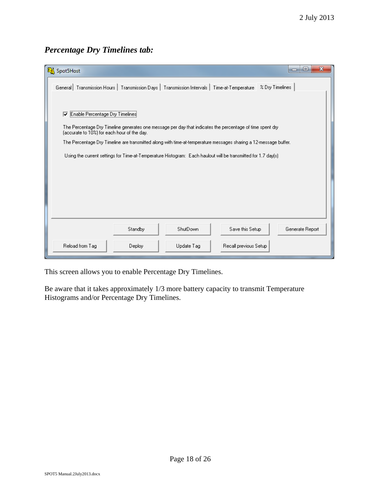# *Percentage Dry Timelines tab:*

| 閹<br>Spot5Host                                                                                                |         |            |                                                                                                                  | x<br>E            |  |
|---------------------------------------------------------------------------------------------------------------|---------|------------|------------------------------------------------------------------------------------------------------------------|-------------------|--|
| General   Transmission Hours   Transmission Days   Transmission Intervals   Time-at-Temperature               |         |            |                                                                                                                  | $%$ Dry Timelines |  |
| Enable Percentage Dry Timelines                                                                               |         |            |                                                                                                                  |                   |  |
| (accurate to 10%) for each hour of the day.                                                                   |         |            | The Percentage Dry Timeline generates one message per day that indicates the percentage of time spent dry.       |                   |  |
|                                                                                                               |         |            | The Percentage Dry Timeline are transmitted along with time-at-temperature messages sharing a 12-message buffer. |                   |  |
| Using the current settings for Time-at-Temperature Histogram: Each haulout will be transmitted for 1.7 day(s) |         |            |                                                                                                                  |                   |  |
|                                                                                                               |         |            |                                                                                                                  |                   |  |
|                                                                                                               |         |            |                                                                                                                  |                   |  |
|                                                                                                               | Standby | ShutDown   | Save this Setup                                                                                                  | Generate Report   |  |
| Reload from Tag                                                                                               | Deploy  | Update Tag | Recall previous Setup                                                                                            |                   |  |

This screen allows you to enable Percentage Dry Timelines.

Be aware that it takes approximately 1/3 more battery capacity to transmit Temperature Histograms and/or Percentage Dry Timelines.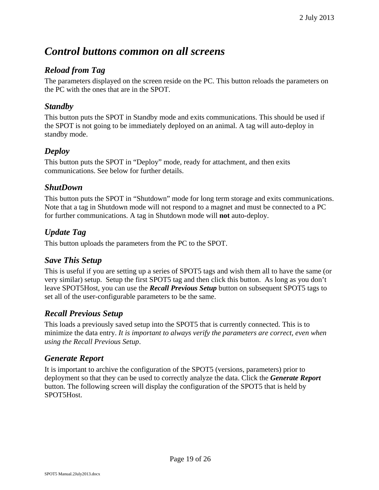# *Control buttons common on all screens*

# *Reload from Tag*

The parameters displayed on the screen reside on the PC. This button reloads the parameters on the PC with the ones that are in the SPOT.

### *Standby*

This button puts the SPOT in Standby mode and exits communications. This should be used if the SPOT is not going to be immediately deployed on an animal. A tag will auto-deploy in standby mode.

# *Deploy*

This button puts the SPOT in "Deploy" mode, ready for attachment, and then exits communications. See below for further details.

### *ShutDown*

This button puts the SPOT in "Shutdown" mode for long term storage and exits communications. Note that a tag in Shutdown mode will not respond to a magnet and must be connected to a PC for further communications. A tag in Shutdown mode will **not** auto-deploy.

# *Update Tag*

This button uploads the parameters from the PC to the SPOT.

# *Save This Setup*

This is useful if you are setting up a series of SPOT5 tags and wish them all to have the same (or very similar) setup. Setup the first SPOT5 tag and then click this button. As long as you don't leave SPOT5Host, you can use the *Recall Previous Setup* button on subsequent SPOT5 tags to set all of the user-configurable parameters to be the same.

# *Recall Previous Setup*

This loads a previously saved setup into the SPOT5 that is currently connected. This is to minimize the data entry. *It is important to always verify the parameters are correct, even when using the Recall Previous Setup*.

# *Generate Report*

It is important to archive the configuration of the SPOT5 (versions, parameters) prior to deployment so that they can be used to correctly analyze the data. Click the *Generate Report* button. The following screen will display the configuration of the SPOT5 that is held by SPOT5Host.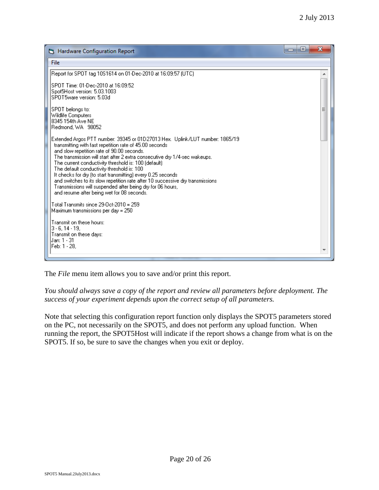| $\overline{\mathbf{x}}$<br>o<br>$\overline{\phantom{0}}$<br>Hardware Configuration Report                                                                                                                                                                                                                                                                                                                                                                                                                                                                                                                                                |   |  |  |  |
|------------------------------------------------------------------------------------------------------------------------------------------------------------------------------------------------------------------------------------------------------------------------------------------------------------------------------------------------------------------------------------------------------------------------------------------------------------------------------------------------------------------------------------------------------------------------------------------------------------------------------------------|---|--|--|--|
| File                                                                                                                                                                                                                                                                                                                                                                                                                                                                                                                                                                                                                                     |   |  |  |  |
| Report for SPOT tag 10S1614 on 01-Dec-2010 at 16:09:57 (UTC)                                                                                                                                                                                                                                                                                                                                                                                                                                                                                                                                                                             | ∸ |  |  |  |
| SPOT Time: 01-Dec-2010 at 16:09:52<br>Spot5Host version: 5.03.1003<br>SPOT5ware version: 5.03d                                                                                                                                                                                                                                                                                                                                                                                                                                                                                                                                           |   |  |  |  |
| SPOT belongs to:<br>Wildlife Computers<br>8345 154th Ave NE<br>Redmond, WA 98052                                                                                                                                                                                                                                                                                                                                                                                                                                                                                                                                                         | Ξ |  |  |  |
| Extended Argos PTT number: 39345 or 01D27013 Hex._Uplink/LUT number: 1865/19<br>transmitting with fast repetition rate of 45.00 seconds.<br>and slow repetition rate of 90.00 seconds.<br>The transmission will start after 2 extra consecutive dry 1/4-sec wakeups.<br>The current conductivity threshold is: 100 (default)<br>The default conductivity threshold is: 100<br>It checks for dry (to start transmitting) every 0.25 seconds<br>and switches to its slow repetition rate after 10 successive dry transmissions<br>Transmissions will suspended after being dry for 06 hours,<br>and resume after being wet for 08 seconds. |   |  |  |  |
| $Total Transmits since 29-0ct-2010 = 259$<br>Maximum transmissions per day = 250                                                                                                                                                                                                                                                                                                                                                                                                                                                                                                                                                         |   |  |  |  |
| Transmit on these hours:<br>3 - 6, 14 - 19,<br>Transmit on these days:<br>Jan: 1 - 31<br>Feb: 1 - 28.                                                                                                                                                                                                                                                                                                                                                                                                                                                                                                                                    |   |  |  |  |

The *File* menu item allows you to save and/or print this report.

*You should always save a copy of the report and review all parameters before deployment. The success of your experiment depends upon the correct setup of all parameters.* 

Note that selecting this configuration report function only displays the SPOT5 parameters stored on the PC, not necessarily on the SPOT5, and does not perform any upload function. When running the report, the SPOT5Host will indicate if the report shows a change from what is on the SPOT5. If so, be sure to save the changes when you exit or deploy.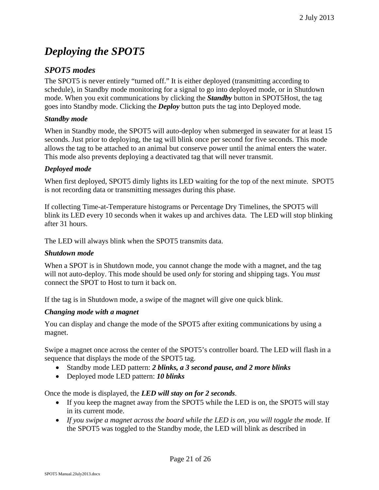# *Deploying the SPOT5*

### *SPOT5 modes*

The SPOT5 is never entirely "turned off." It is either deployed (transmitting according to schedule), in Standby mode monitoring for a signal to go into deployed mode, or in Shutdown mode. When you exit communications by clicking the *Standby* button in SPOT5Host, the tag goes into Standby mode. Clicking the *Deploy* button puts the tag into Deployed mode.

#### *Standby mode*

When in Standby mode, the SPOT5 will auto-deploy when submerged in seawater for at least 15 seconds. Just prior to deploying, the tag will blink once per second for five seconds. This mode allows the tag to be attached to an animal but conserve power until the animal enters the water. This mode also prevents deploying a deactivated tag that will never transmit.

#### *Deployed mode*

When first deployed, SPOT5 dimly lights its LED waiting for the top of the next minute. SPOT5 is not recording data or transmitting messages during this phase.

If collecting Time-at-Temperature histograms or Percentage Dry Timelines, the SPOT5 will blink its LED every 10 seconds when it wakes up and archives data. The LED will stop blinking after 31 hours.

The LED will always blink when the SPOT5 transmits data.

#### *Shutdown mode*

When a SPOT is in Shutdown mode, you cannot change the mode with a magnet, and the tag will not auto-deploy. This mode should be used *only* for storing and shipping tags. You *must* connect the SPOT to Host to turn it back on.

If the tag is in Shutdown mode, a swipe of the magnet will give one quick blink.

#### *Changing mode with a magnet*

You can display and change the mode of the SPOT5 after exiting communications by using a magnet.

Swipe a magnet once across the center of the SPOT5's controller board. The LED will flash in a sequence that displays the mode of the SPOT5 tag.

- Standby mode LED pattern: *2 blinks, a 3 second pause, and 2 more blinks*
- Deployed mode LED pattern: *10 blinks*

Once the mode is displayed, the *LED will stay on for 2 seconds*.

- If you keep the magnet away from the SPOT5 while the LED is on, the SPOT5 will stay in its current mode.
- *If you swipe a magnet across the board while the LED is on, you will toggle the mode.* If the SPOT5 was toggled to the Standby mode, the LED will blink as described in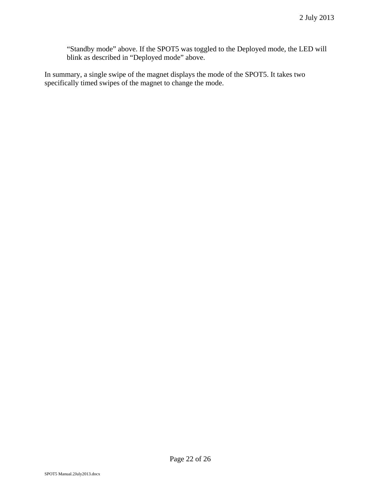"Standby mode" above. If the SPOT5 was toggled to the Deployed mode, the LED will blink as described in "Deployed mode" above.

In summary, a single swipe of the magnet displays the mode of the SPOT5. It takes two specifically timed swipes of the magnet to change the mode.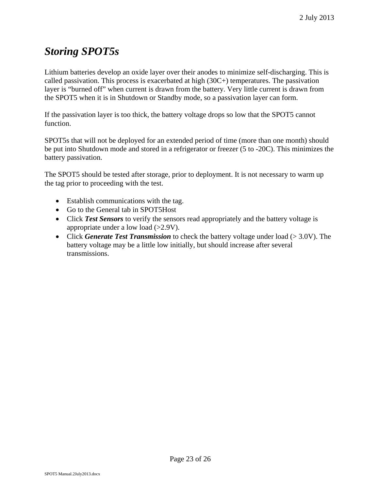# *Storing SPOT5s*

Lithium batteries develop an oxide layer over their anodes to minimize self-discharging. This is called passivation. This process is exacerbated at high (30C+) temperatures. The passivation layer is "burned off" when current is drawn from the battery. Very little current is drawn from the SPOT5 when it is in Shutdown or Standby mode, so a passivation layer can form.

If the passivation layer is too thick, the battery voltage drops so low that the SPOT5 cannot function.

SPOT5s that will not be deployed for an extended period of time (more than one month) should be put into Shutdown mode and stored in a refrigerator or freezer (5 to -20C). This minimizes the battery passivation.

The SPOT5 should be tested after storage, prior to deployment. It is not necessary to warm up the tag prior to proceeding with the test.

- Establish communications with the tag.
- Go to the General tab in SPOT5Host
- Click *Test Sensors* to verify the sensors read appropriately and the battery voltage is appropriate under a low load (>2.9V).
- Click *Generate Test Transmission* to check the battery voltage under load ( $> 3.0V$ ). The battery voltage may be a little low initially, but should increase after several transmissions.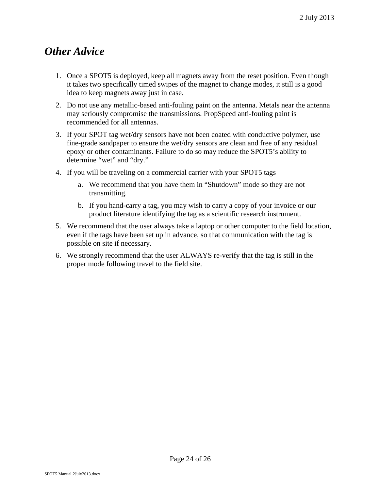# *Other Advice*

- 1. Once a SPOT5 is deployed, keep all magnets away from the reset position. Even though it takes two specifically timed swipes of the magnet to change modes, it still is a good idea to keep magnets away just in case.
- 2. Do not use any metallic-based anti-fouling paint on the antenna. Metals near the antenna may seriously compromise the transmissions. PropSpeed anti-fouling paint is recommended for all antennas.
- 3. If your SPOT tag wet/dry sensors have not been coated with conductive polymer, use fine-grade sandpaper to ensure the wet/dry sensors are clean and free of any residual epoxy or other contaminants. Failure to do so may reduce the SPOT5's ability to determine "wet" and "dry."
- 4. If you will be traveling on a commercial carrier with your SPOT5 tags
	- a. We recommend that you have them in "Shutdown" mode so they are not transmitting.
	- b. If you hand-carry a tag, you may wish to carry a copy of your invoice or our product literature identifying the tag as a scientific research instrument.
- 5. We recommend that the user always take a laptop or other computer to the field location, even if the tags have been set up in advance, so that communication with the tag is possible on site if necessary.
- 6. We strongly recommend that the user ALWAYS re-verify that the tag is still in the proper mode following travel to the field site.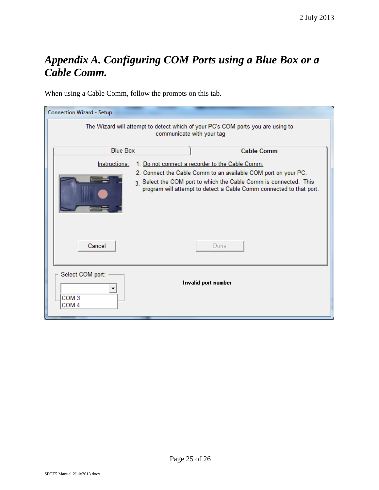# *Appendix A. Configuring COM Ports using a Blue Box or a Cable Comm.*

When using a Cable Comm, follow the prompts on this tab.

| Connection Wizard - Setup                                                                                    |  |                                                                                                                                                                                                                                                              |  |  |  |  |  |
|--------------------------------------------------------------------------------------------------------------|--|--------------------------------------------------------------------------------------------------------------------------------------------------------------------------------------------------------------------------------------------------------------|--|--|--|--|--|
| The Wizard will attempt to detect which of your PC's COM ports you are using to<br>communicate with your tag |  |                                                                                                                                                                                                                                                              |  |  |  |  |  |
| <b>Blue Box</b>                                                                                              |  | <b>Cable Comm</b>                                                                                                                                                                                                                                            |  |  |  |  |  |
| Instructions:                                                                                                |  | 1. Do not connect a recorder to the Cable Comm.<br>2. Connect the Cable Comm to an available COM port on your PC.<br>3 Select the COM port to which the Cable Comm is connected. This<br>program will attempt to detect a Cable Comm connected to that port. |  |  |  |  |  |
| Cancel                                                                                                       |  | Done                                                                                                                                                                                                                                                         |  |  |  |  |  |
| Select COM port:<br>COM <sub>3</sub><br>COM <sub>4</sub>                                                     |  | Invalid port number                                                                                                                                                                                                                                          |  |  |  |  |  |